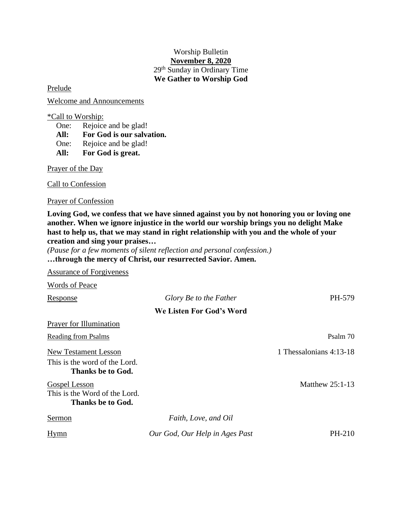## Worship Bulletin **November 8, 2020** 29 th Sunday in Ordinary Time **We Gather to Worship God**

Prelude

Welcome and Announcements

\*Call to Worship:

One: Rejoice and be glad!

**All: For God is our salvation.**

One: Rejoice and be glad!

**All: For God is great.**

Prayer of the Day

Call to Confession

Prayer of Confession

**Loving God, we confess that we have sinned against you by not honoring you or loving one another. When we ignore injustice in the world our worship brings you no delight Make hast to help us, that we may stand in right relationship with you and the whole of your creation and sing your praises…**

*(Pause for a few moments of silent reflection and personal confession.)* **…through the mercy of Christ, our resurrected Savior. Amen.**

Assurance of Forgiveness

Words of Peace Response *Glory Be to the Father* PH-579 **We Listen For God's Word** Prayer for Illumination Reading from Psalms Psalm 70 New Testament Lesson 1 Thessalonians 4:13-18 This is the word of the Lord. **Thanks be to God.** Gospel Lesson Matthew 25:1-13 This is the Word of the Lord. **Thanks be to God.** Sermon *Faith, Love, and Oil* Hymn *Our God, Our Help in Ages Past* PH-210